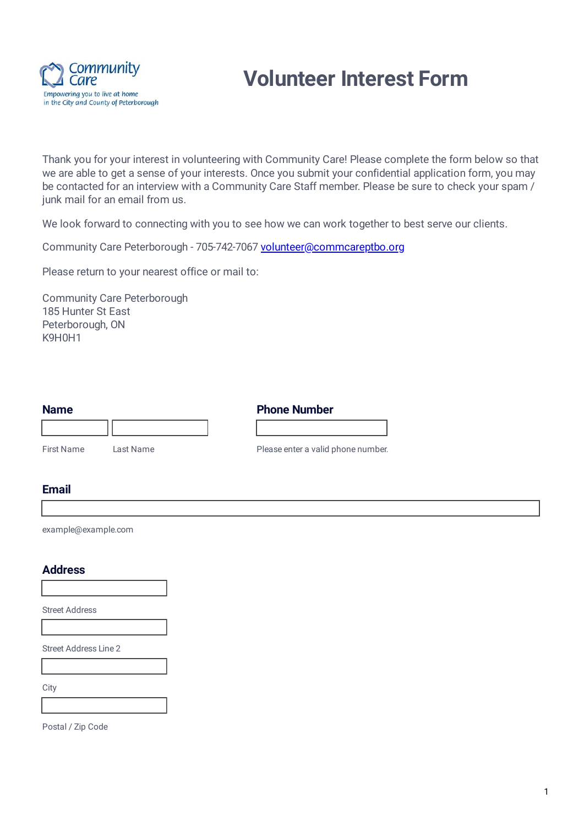

# **Volunteer Interest Form**

Thank you for your interest in volunteering with Community Care! Please complete the form below so that we are able to get a sense of your interests. Once you submit your confidential application form, you may be contacted for an interview with a Community Care Staff member. Please be sure to check your spam / junk mail for an email from us.

We look forward to connecting with you to see how we can work together to best serve our clients.

Community Care Peterborough - 705-742-7067 [volunteer@commcareptbo.org](mailto:volunteer@commcareptbo.org)

Please return to your nearest office or mail to:

Community Care Peterborough 185 Hunter St East Peterborough, ON K9H0H1

| <b>Name</b> |           | <b>Phone Number</b>                |
|-------------|-----------|------------------------------------|
|             |           |                                    |
| First Name  | Last Name | Please enter a valid phone number. |

#### **Email**

example@example.com

#### **Address**

Street Address

Street Address Line 2

**City** 

Postal / Zip Code